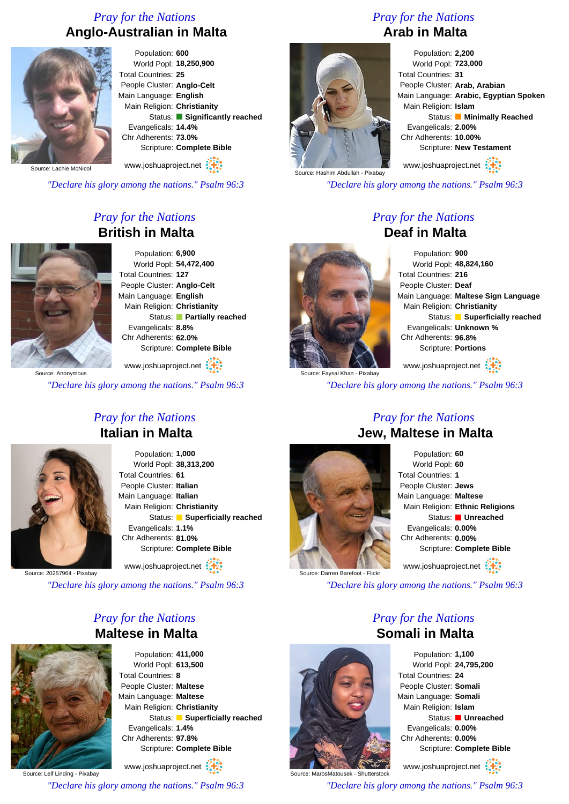# *Pray for the Nations* **Anglo-Australian in Malta**



Population: **600** World Popl: **18,250,900** Total Countries: **25** People Cluster: **Anglo-Celt** Main Language: **English** Main Religion: **Christianity** Status: **Significantly reached** Evangelicals: **14.4%** Chr Adherents: **73.0%** Scripture: **Complete Bible**

www.joshuaproject.net

ource: Lachie McNicol

*"Declare his glory among the nations." Psalm 96:3*

# *Pray for the Nations* **British in Malta**



Population: **6,900** World Popl: **54,472,400** Total Countries: **127** People Cluster: **Anglo-Celt** Main Language: **English** Main Religion: **Christianity** Status: **Partially reached** Evangelicals: **8.8%** Chr Adherents: **62.0%** Scripture: **Complete Bible**

www.joshuaproject.net

*"Declare his glory among the nations." Psalm 96:3*

## *Pray for the Nations* **Italian in Malta**



Population: **1,000** World Popl: **38,313,200** Total Countries: **61** People Cluster: **Italian** Main Language: **Italian** Main Religion: **Christianity** Status: **Superficially reached** Evangelicals: **1.1%** Chr Adherents: **81.0%** Scripture: **Complete Bible**

www.joshuaproject.net

Source: 20257964 - Pixabay

*"Declare his glory among the nations." Psalm 96:3*

### *Pray for the Nations* **Maltese in Malta**



Population: **411,000** World Popl: **613,500** Total Countries: **8** People Cluster: **Maltese** Main Language: **Maltese** Main Religion: **Christianity** Status: **Superficially reached** Evangelicals: **1.4%** Chr Adherents: **97.8%** Scripture: **Complete Bible**

Source: Leif Linding - Pixabay www.joshuaproject.net *"Declare his glory among the nations." Psalm 96:3*

## *Pray for the Nations* **Arab in Malta**



Population: **2,200** World Popl: **723,000** Total Countries: **31** People Cluster: **Arab, Arabian** Main Language: **Arabic, Egyptian Spoken** Main Religion: **Islam** Status: **Minimally Reached** Evangelicals: **2.00%** Chr Adherents: **10.00%** Scripture: **New Testament**

www.joshuaproject.net

*"Declare his glory among the nations." Psalm 96:3*

#### *Pray for the Nations* **Deaf in Malta**

Population: **900** World Popl: **48,824,160** Total Countries: **216** People Cluster: **Deaf** Main Language: **Maltese Sign Language** Main Religion: **Christianity** Status: **Superficially reached** Evangelicals: **Unknown %** Chr Adherents: **96.8%** Scripture: **Portions** www.joshuaproject.net

Irce: Faysal Khan - Pixabay

*"Declare his glory among the nations." Psalm 96:3*



## *Pray for the Nations* **Jew, Maltese in Malta**

Population: **60** World Popl: **60** Total Countries: **1** People Cluster: **Jews** Main Language: **Maltese** Main Religion: **Ethnic Religions** Status: **Unreached** Evangelicals: **0.00%** Chr Adherents: **0.00%** Scripture: **Complete Bible** www.joshuaproject.net

*"Declare his glory among the nations." Psalm 96:3*

## *Pray for the Nations* **Somali in Malta**



*"Declare his glory among the nations." Psalm 96:3*